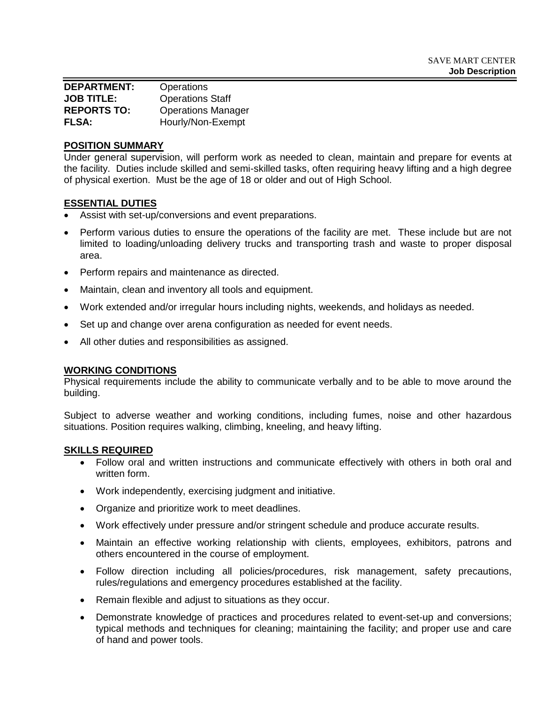| <b>DEPARTMENT:</b> | Operations                |
|--------------------|---------------------------|
| <b>JOB TITLE:</b>  | <b>Operations Staff</b>   |
| <b>REPORTS TO:</b> | <b>Operations Manager</b> |
| <b>FLSA:</b>       | Hourly/Non-Exempt         |

### **POSITION SUMMARY**

Under general supervision, will perform work as needed to clean, maintain and prepare for events at the facility. Duties include skilled and semi-skilled tasks, often requiring heavy lifting and a high degree of physical exertion. Must be the age of 18 or older and out of High School.

### **ESSENTIAL DUTIES**

- Assist with set-up/conversions and event preparations.
- Perform various duties to ensure the operations of the facility are met. These include but are not limited to loading/unloading delivery trucks and transporting trash and waste to proper disposal area.
- Perform repairs and maintenance as directed.
- Maintain, clean and inventory all tools and equipment.
- Work extended and/or irregular hours including nights, weekends, and holidays as needed.
- Set up and change over arena configuration as needed for event needs.
- All other duties and responsibilities as assigned.

### **WORKING CONDITIONS**

Physical requirements include the ability to communicate verbally and to be able to move around the building.

Subject to adverse weather and working conditions, including fumes, noise and other hazardous situations. Position requires walking, climbing, kneeling, and heavy lifting.

#### **SKILLS REQUIRED**

- Follow oral and written instructions and communicate effectively with others in both oral and written form.
- Work independently, exercising judgment and initiative.
- Organize and prioritize work to meet deadlines.
- Work effectively under pressure and/or stringent schedule and produce accurate results.
- Maintain an effective working relationship with clients, employees, exhibitors, patrons and others encountered in the course of employment.
- Follow direction including all policies/procedures, risk management, safety precautions, rules/regulations and emergency procedures established at the facility.
- Remain flexible and adjust to situations as they occur.
- Demonstrate knowledge of practices and procedures related to event-set-up and conversions; typical methods and techniques for cleaning; maintaining the facility; and proper use and care of hand and power tools.